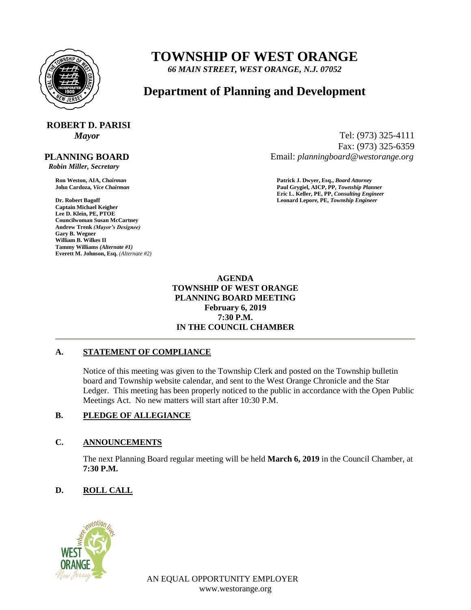

## **TOWNSHIP OF WEST ORANGE**

*66 MAIN STREET, WEST ORANGE, N.J. 07052*

### **Department of Planning and Development**

# **ROBERT D. PARISI**

 **PLANNING BOARD**

 *Robin Miller, Secretary*

**Captain Michael Keigher Lee D. Klein, PE, PTOE Councilwoman Susan McCartney Andrew Trenk** *(Mayor's Designee)* **Gary B. Wegner William B. Wilkes II Tammy Williams** *(Alternate #1)* **Everett M. Johnson, Esq.** *(Alternate #2)*

*Mayor* Tel: (973) 325-4111 Fax: (973) 325-6359 Email: *planningboard@westorange.org*

**Ron Weston, AIA,** *Chairman* **Patrick J. Dwyer, Esq.,** *Board Attorney* **John Cardoza,** *Vice Chairman* **Paul Grygiel, AICP, PP,** *Township Planner* **Eric L. Keller, PE, PP,** *Consulting Engineer* **Dr. Robert Bagoff Leonard Lepore, PE,** *Township Engineer*

> **AGENDA TOWNSHIP OF WEST ORANGE PLANNING BOARD MEETING February 6, 2019 7:30 P.M. IN THE COUNCIL CHAMBER**

#### **A. STATEMENT OF COMPLIANCE**

Notice of this meeting was given to the Township Clerk and posted on the Township bulletin board and Township website calendar, and sent to the West Orange Chronicle and the Star Ledger. This meeting has been properly noticed to the public in accordance with the Open Public Meetings Act. No new matters will start after 10:30 P.M.

#### **B. PLEDGE OF ALLEGIANCE**

#### **C. ANNOUNCEMENTS**

The next Planning Board regular meeting will be held **March 6, 2019** in the Council Chamber, at **7:30 P.M.**

#### **D. ROLL CALL**